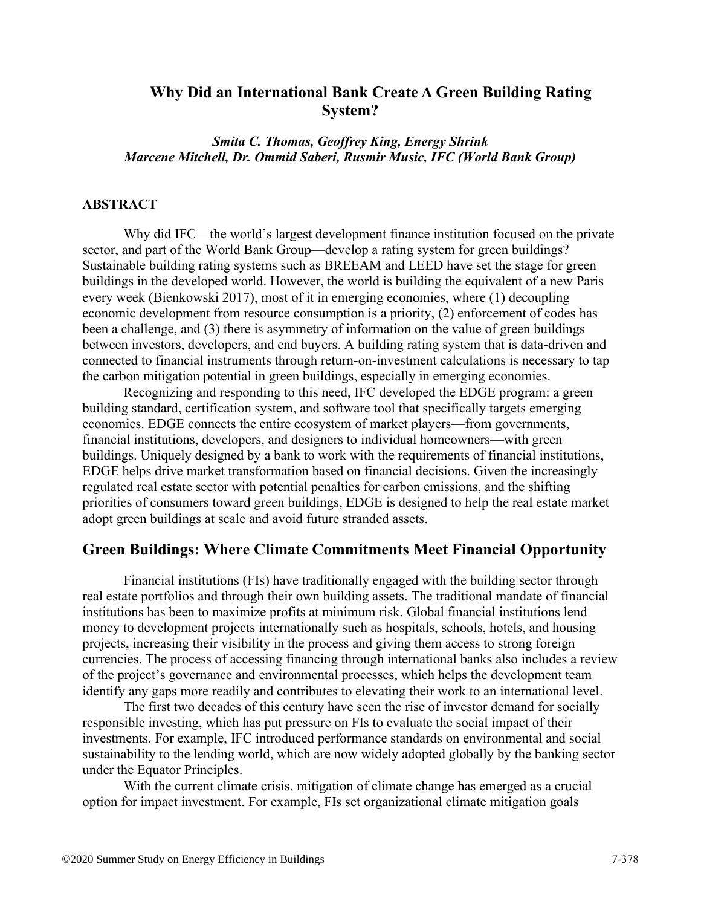# **Why Did an International Bank Create A Green Building Rating System?**

*Smita C. Thomas, Geoffrey King, Energy Shrink Marcene Mitchell, Dr. Ommid Saberi, Rusmir Music, IFC (World Bank Group)*

#### **ABSTRACT**

Why did IFC—the world's largest development finance institution focused on the private sector, and part of the World Bank Group—develop a rating system for green buildings? Sustainable building rating systems such as BREEAM and LEED have set the stage for green buildings in the developed world. However, the world is building the equivalent of a new Paris every week (Bienkowski 2017), most of it in emerging economies, where (1) decoupling economic development from resource consumption is a priority, (2) enforcement of codes has been a challenge, and (3) there is asymmetry of information on the value of green buildings between investors, developers, and end buyers. A building rating system that is data-driven and connected to financial instruments through return-on-investment calculations is necessary to tap the carbon mitigation potential in green buildings, especially in emerging economies.

Recognizing and responding to this need, IFC developed the EDGE program: a green building standard, certification system, and software tool that specifically targets emerging economies. EDGE connects the entire ecosystem of market players—from governments, financial institutions, developers, and designers to individual homeowners—with green buildings. Uniquely designed by a bank to work with the requirements of financial institutions, EDGE helps drive market transformation based on financial decisions. Given the increasingly regulated real estate sector with potential penalties for carbon emissions, and the shifting priorities of consumers toward green buildings, EDGE is designed to help the real estate market adopt green buildings at scale and avoid future stranded assets.

### **Green Buildings: Where Climate Commitments Meet Financial Opportunity**

Financial institutions (FIs) have traditionally engaged with the building sector through real estate portfolios and through their own building assets. The traditional mandate of financial institutions has been to maximize profits at minimum risk. Global financial institutions lend money to development projects internationally such as hospitals, schools, hotels, and housing projects, increasing their visibility in the process and giving them access to strong foreign currencies. The process of accessing financing through international banks also includes a review of the project's governance and environmental processes, which helps the development team identify any gaps more readily and contributes to elevating their work to an international level.

The first two decades of this century have seen the rise of investor demand for socially responsible investing, which has put pressure on FIs to evaluate the social impact of their investments. For example, IFC introduced performance standards on environmental and social sustainability to the lending world, which are now widely adopted globally by the banking sector under the Equator Principles.

With the current climate crisis, mitigation of climate change has emerged as a crucial option for impact investment. For example, FIs set organizational climate mitigation goals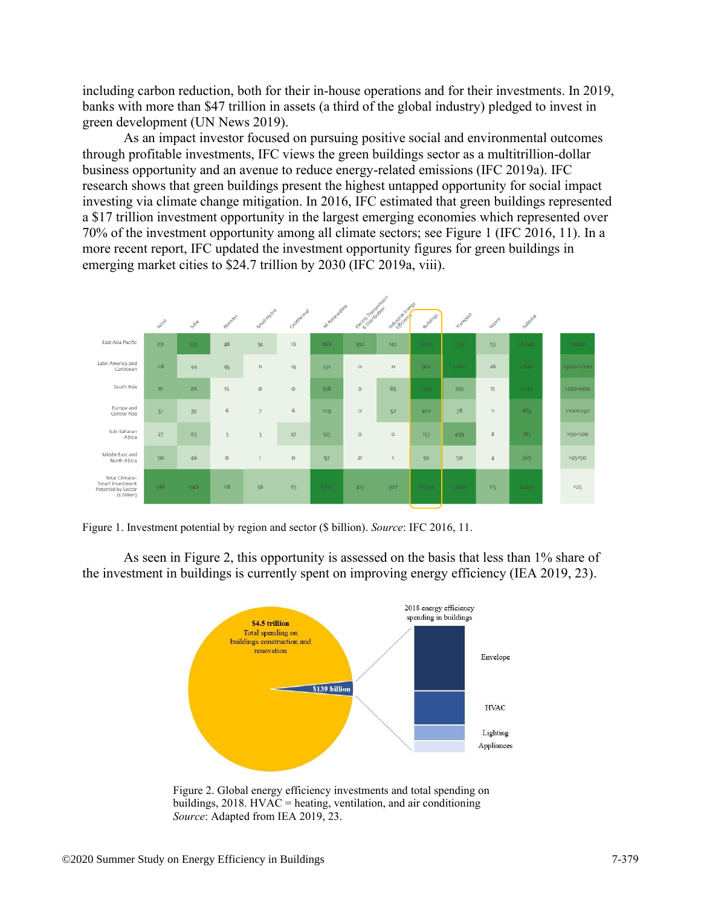including carbon reduction, both for their in-house operations and for their investments. In 2019, banks with more than \$47 trillion in assets (a third of the global industry) pledged to invest in green development (UN News 2019).

As an impact investor focused on pursuing positive social and environmental outcomes through profitable investments, IFC views the green buildings sector as a multitrillion-dollar business opportunity and an avenue to reduce energy-related emissions (IFC 2019a). IFC research shows that green buildings present the highest untapped opportunity for social impact investing via climate change mitigation. In 2016, IFC estimated that green buildings represented a \$17 trillion investment opportunity in the largest emerging economies which represented over 70% of the investment opportunity among all climate sectors; see Figure 1 (IFC 2016, 11). In a more recent report, IFC updated the investment opportunity figures for green buildings in emerging market cities to \$24.7 trillion by 2030 (IFC 2019a, viii).



Figure 1. Investment potential by region and sector (\$ billion). *Source*: IFC 2016, 11.

As seen in Figure 2, this opportunity is assessed on the basis that less than 1% share of the investment in buildings is currently spent on improving energy efficiency (IEA 2019, 23).



Figure 2. Global energy efficiency investments and total spending on buildings,  $2018$ . HVAC = heating, ventilation, and air conditioning *Source*: Adapted from IEA 2019, 23.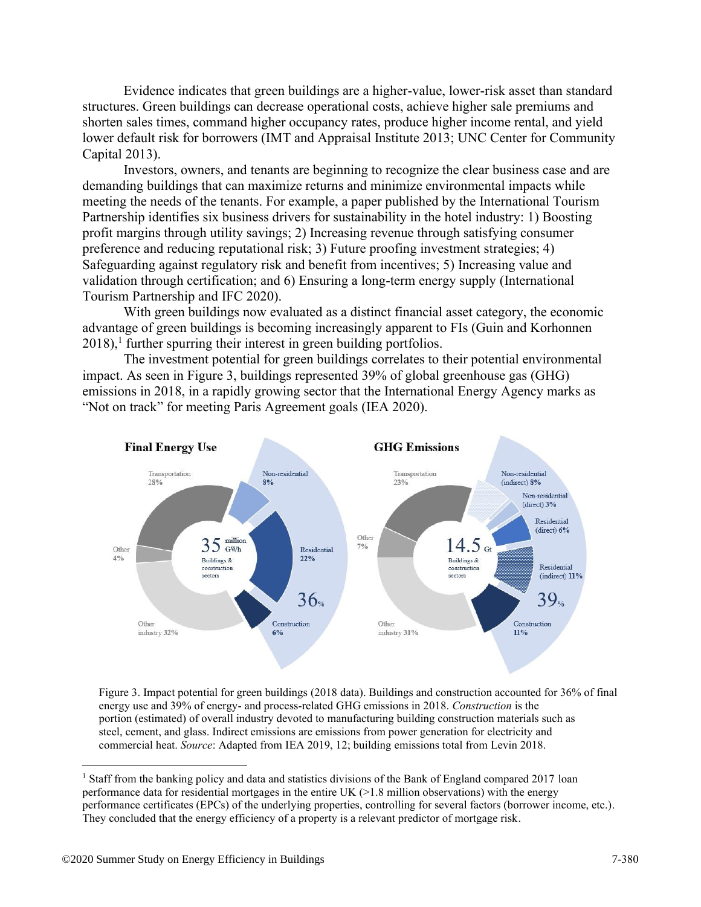Evidence indicates that green buildings are a higher-value, lower-risk asset than standard structures. Green buildings can decrease operational costs, achieve higher sale premiums and shorten sales times, command higher occupancy rates, produce higher income rental, and yield lower default risk for borrowers (IMT and Appraisal Institute 2013; UNC Center for Community Capital 2013).

Investors, owners, and tenants are beginning to recognize the clear business case and are demanding buildings that can maximize returns and minimize environmental impacts while meeting the needs of the tenants. For example, a paper published by the International Tourism Partnership identifies six business drivers for sustainability in the hotel industry: 1) Boosting profit margins through utility savings; 2) Increasing revenue through satisfying consumer preference and reducing reputational risk; 3) Future proofing investment strategies; 4) Safeguarding against regulatory risk and benefit from incentives; 5) Increasing value and validation through certification; and 6) Ensuring a long-term energy supply (International Tourism Partnership and IFC 2020).

With green buildings now evaluated as a distinct financial asset category, the economic advantage of green buildings is becoming increasingly apparent to FIs (Guin and Korhonnen  $2018$ <sup>1</sup>, further spurring their interest in green building portfolios.

The investment potential for green buildings correlates to their potential environmental impact. As seen in Figure 3, buildings represented 39% of global greenhouse gas (GHG) emissions in 2018, in a rapidly growing sector that the International Energy Agency marks as "Not on track" for meeting Paris Agreement goals (IEA 2020).



Figure 3. Impact potential for green buildings (2018 data). Buildings and construction accounted for 36% of final energy use and 39% of energy- and process-related GHG emissions in 2018. *Construction* is the portion (estimated) of overall industry devoted to manufacturing building construction materials such as steel, cement, and glass. Indirect emissions are emissions from power generation for electricity and commercial heat. *Source*: Adapted from IEA 2019, 12; building emissions total from Levin 2018.

<sup>&</sup>lt;sup>1</sup> Staff from the banking policy and data and statistics divisions of the Bank of England compared 2017 loan performance data for residential mortgages in the entire UK  $(>1.8$  million observations) with the energy performance certificates (EPCs) of the underlying properties, controlling for several factors (borrower income, etc.). They concluded that the energy efficiency of a property is a relevant predictor of mortgage risk.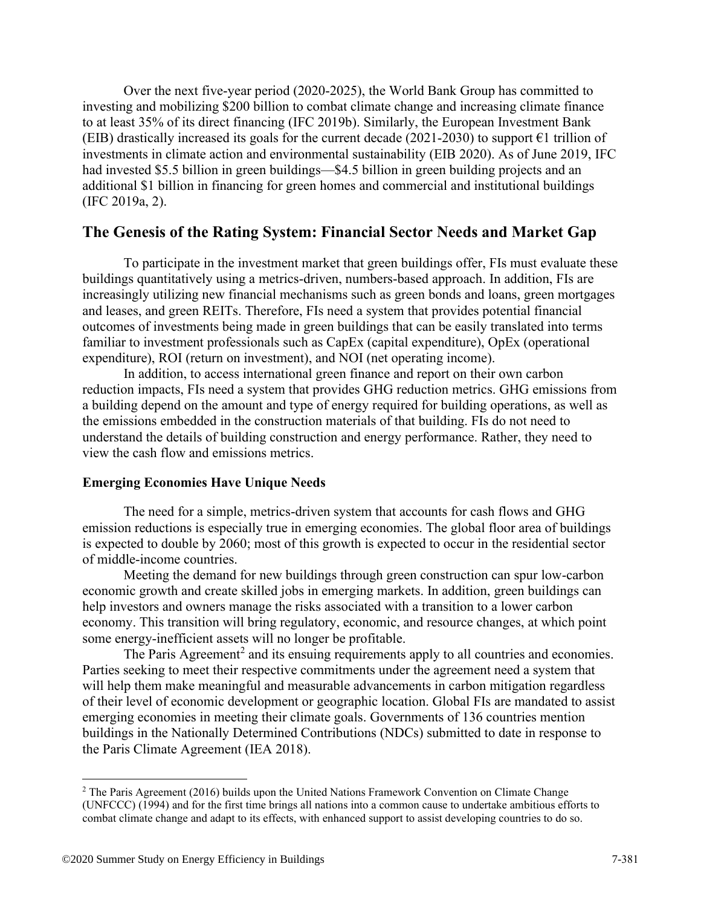Over the next five-year period (2020-2025), the World Bank Group has committed to investing and mobilizing \$200 billion to combat climate change and increasing climate finance to at least 35% of its direct financing (IFC 2019b). Similarly, the European Investment Bank (EIB) drastically increased its goals for the current decade (2021-2030) to support  $\epsilon$ 1 trillion of investments in climate action and environmental sustainability (EIB 2020). As of June 2019, IFC had invested \$5.5 billion in green buildings—\$4.5 billion in green building projects and an additional \$1 billion in financing for green homes and commercial and institutional buildings (IFC 2019a, 2).

#### **The Genesis of the Rating System: Financial Sector Needs and Market Gap**

To participate in the investment market that green buildings offer, FIs must evaluate these buildings quantitatively using a metrics-driven, numbers-based approach. In addition, FIs are increasingly utilizing new financial mechanisms such as green bonds and loans, green mortgages and leases, and green REITs. Therefore, FIs need a system that provides potential financial outcomes of investments being made in green buildings that can be easily translated into terms familiar to investment professionals such as CapEx (capital expenditure), OpEx (operational expenditure), ROI (return on investment), and NOI (net operating income).

In addition, to access international green finance and report on their own carbon reduction impacts, FIs need a system that provides GHG reduction metrics. GHG emissions from a building depend on the amount and type of energy required for building operations, as well as the emissions embedded in the construction materials of that building. FIs do not need to understand the details of building construction and energy performance. Rather, they need to view the cash flow and emissions metrics.

#### **Emerging Economies Have Unique Needs**

The need for a simple, metrics-driven system that accounts for cash flows and GHG emission reductions is especially true in emerging economies. The global floor area of buildings is expected to double by 2060; most of this growth is expected to occur in the residential sector of middle-income countries.

Meeting the demand for new buildings through green construction can spur low-carbon economic growth and create skilled jobs in emerging markets. In addition, green buildings can help investors and owners manage the risks associated with a transition to a lower carbon economy. This transition will bring regulatory, economic, and resource changes, at which point some energy-inefficient assets will no longer be profitable.

The Paris Agreement<sup>2</sup> and its ensuing requirements apply to all countries and economies. Parties seeking to meet their respective commitments under the agreement need a system that will help them make meaningful and measurable advancements in carbon mitigation regardless of their level of economic development or geographic location. Global FIs are mandated to assist emerging economies in meeting their climate goals. Governments of 136 countries mention buildings in the Nationally Determined Contributions (NDCs) submitted to date in response to the Paris Climate Agreement (IEA 2018).

<sup>&</sup>lt;sup>2</sup> The Paris Agreement (2016) builds upon the United Nations Framework Convention on Climate Change (UNFCCC) (1994) and for the first time brings all nations into a common cause to undertake ambitious efforts to combat climate change and adapt to its effects, with enhanced support to assist developing countries to do so.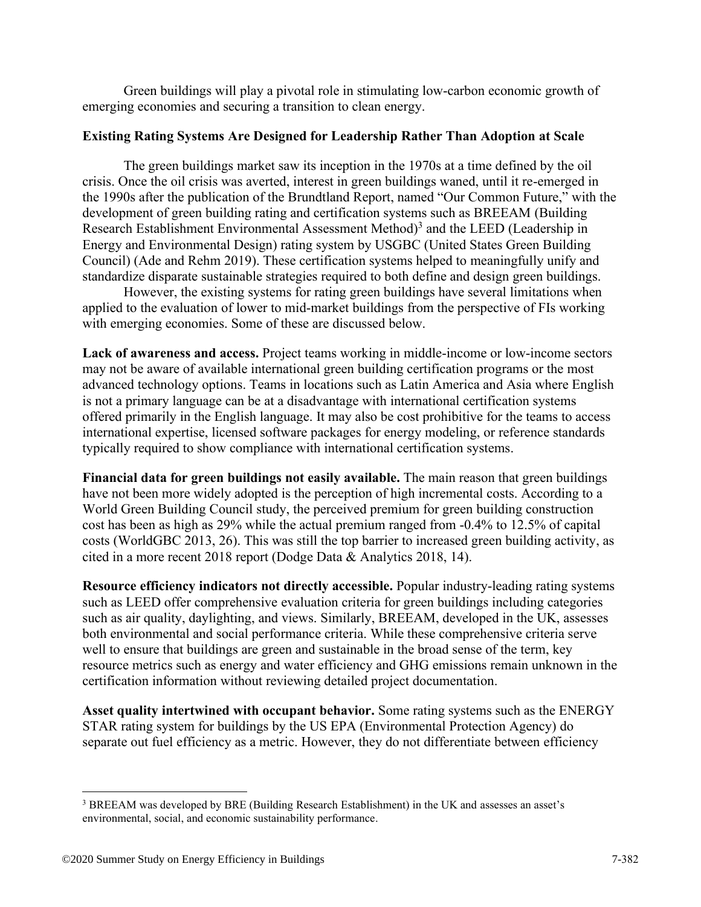Green buildings will play a pivotal role in stimulating low-carbon economic growth of emerging economies and securing a transition to clean energy.

### **Existing Rating Systems Are Designed for Leadership Rather Than Adoption at Scale**

The green buildings market saw its inception in the 1970s at a time defined by the oil crisis. Once the oil crisis was averted, interest in green buildings waned, until it re-emerged in the 1990s after the publication of the Brundtland Report, named "Our Common Future," with the development of green building rating and certification systems such as BREEAM (Building Research Establishment Environmental Assessment Method)<sup>3</sup> and the LEED (Leadership in Energy and Environmental Design) rating system by USGBC (United States Green Building Council) (Ade and Rehm 2019). These certification systems helped to meaningfully unify and standardize disparate sustainable strategies required to both define and design green buildings.

However, the existing systems for rating green buildings have several limitations when applied to the evaluation of lower to mid-market buildings from the perspective of FIs working with emerging economies. Some of these are discussed below.

**Lack of awareness and access.** Project teams working in middle-income or low-income sectors may not be aware of available international green building certification programs or the most advanced technology options. Teams in locations such as Latin America and Asia where English is not a primary language can be at a disadvantage with international certification systems offered primarily in the English language. It may also be cost prohibitive for the teams to access international expertise, licensed software packages for energy modeling, or reference standards typically required to show compliance with international certification systems.

**Financial data for green buildings not easily available.** The main reason that green buildings have not been more widely adopted is the perception of high incremental costs. According to a World Green Building Council study, the perceived premium for green building construction cost has been as high as 29% while the actual premium ranged from -0.4% to 12.5% of capital costs (WorldGBC 2013, 26). This was still the top barrier to increased green building activity, as cited in a more recent 2018 report (Dodge Data & Analytics 2018, 14).

**Resource efficiency indicators not directly accessible.** Popular industry-leading rating systems such as LEED offer comprehensive evaluation criteria for green buildings including categories such as air quality, daylighting, and views. Similarly, BREEAM, developed in the UK, assesses both environmental and social performance criteria. While these comprehensive criteria serve well to ensure that buildings are green and sustainable in the broad sense of the term, key resource metrics such as energy and water efficiency and GHG emissions remain unknown in the certification information without reviewing detailed project documentation.

**Asset quality intertwined with occupant behavior.** Some rating systems such as the ENERGY STAR rating system for buildings by the US EPA (Environmental Protection Agency) do separate out fuel efficiency as a metric. However, they do not differentiate between efficiency

<sup>3</sup> BREEAM was developed by BRE (Building Research Establishment) in the UK and assesses an asset's environmental, social, and economic sustainability performance.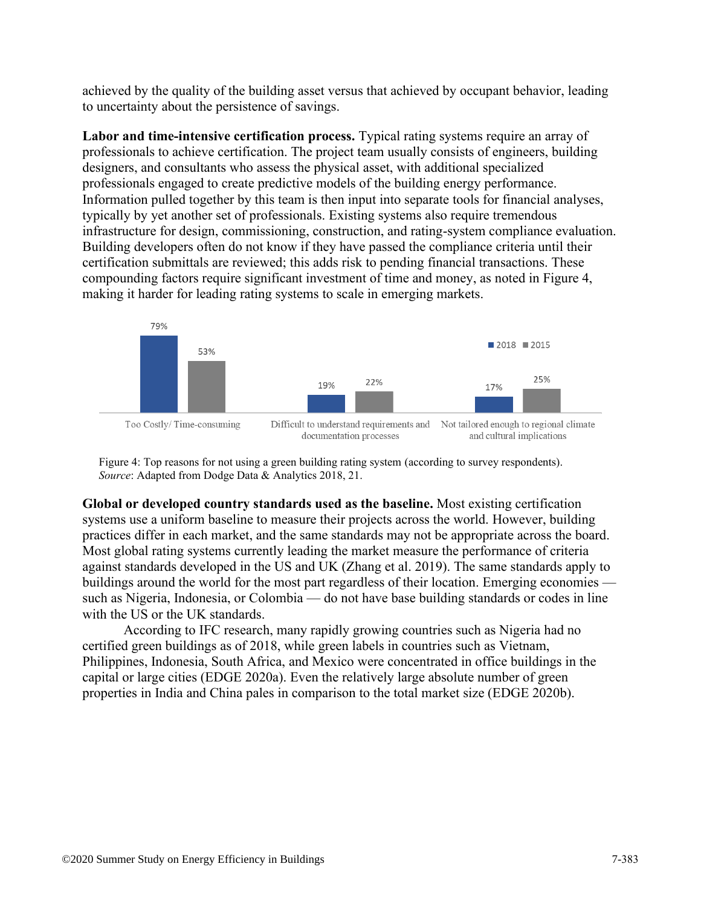achieved by the quality of the building asset versus that achieved by occupant behavior, leading to uncertainty about the persistence of savings.

**Labor and time-intensive certification process.** Typical rating systems require an array of professionals to achieve certification. The project team usually consists of engineers, building designers, and consultants who assess the physical asset, with additional specialized professionals engaged to create predictive models of the building energy performance. Information pulled together by this team is then input into separate tools for financial analyses, typically by yet another set of professionals. Existing systems also require tremendous infrastructure for design, commissioning, construction, and rating-system compliance evaluation. Building developers often do not know if they have passed the compliance criteria until their certification submittals are reviewed; this adds risk to pending financial transactions. These compounding factors require significant investment of time and money, as noted in Figure 4, making it harder for leading rating systems to scale in emerging markets.



Figure 4: Top reasons for not using a green building rating system (according to survey respondents). *Source*: Adapted from Dodge Data & Analytics 2018, 21.

**Global or developed country standards used as the baseline.** Most existing certification systems use a uniform baseline to measure their projects across the world. However, building practices differ in each market, and the same standards may not be appropriate across the board. Most global rating systems currently leading the market measure the performance of criteria against standards developed in the US and UK (Zhang et al. 2019). The same standards apply to buildings around the world for the most part regardless of their location. Emerging economies such as Nigeria, Indonesia, or Colombia — do not have base building standards or codes in line with the US or the UK standards.

According to IFC research, many rapidly growing countries such as Nigeria had no certified green buildings as of 2018, while green labels in countries such as Vietnam, Philippines, Indonesia, South Africa, and Mexico were concentrated in office buildings in the capital or large cities (EDGE 2020a). Even the relatively large absolute number of green properties in India and China pales in comparison to the total market size (EDGE 2020b).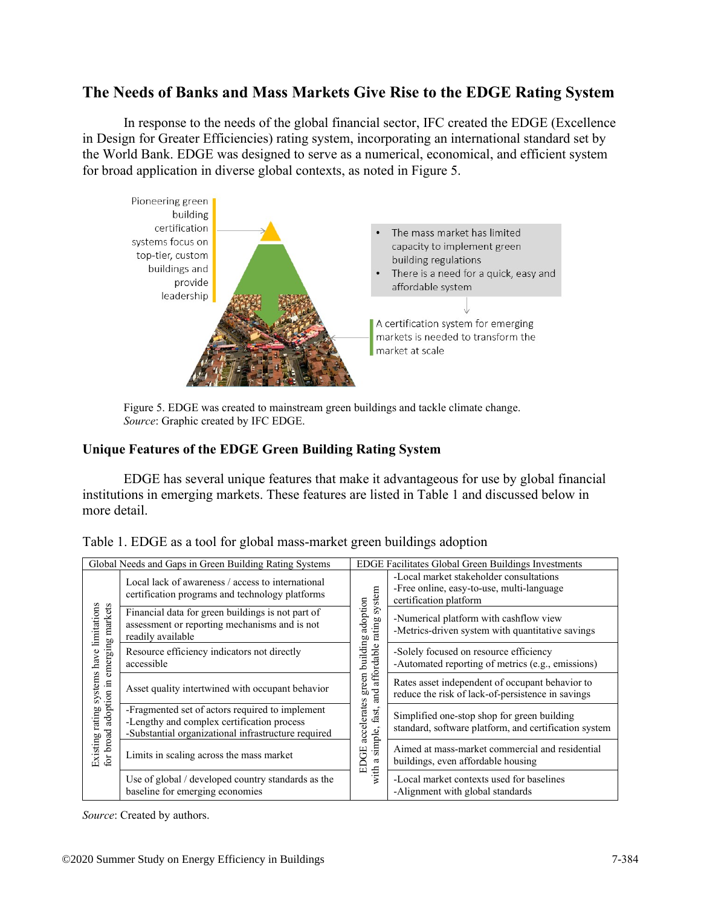# **The Needs of Banks and Mass Markets Give Rise to the EDGE Rating System**

In response to the needs of the global financial sector, IFC created the EDGE (Excellence in Design for Greater Efficiencies) rating system, incorporating an international standard set by the World Bank. EDGE was designed to serve as a numerical, economical, and efficient system for broad application in diverse global contexts, as noted in Figure 5.



Figure 5. EDGE was created to mainstream green buildings and tackle climate change. *Source*: Graphic created by IFC EDGE.

#### **Unique Features of the EDGE Green Building Rating System**

EDGE has several unique features that make it advantageous for use by global financial institutions in emerging markets. These features are listed in Table 1 and discussed below in more detail.

| Global Needs and Gaps in Green Building Rating Systems                                                     |                                                                                                                                                      |                                 | EDGE Facilitates Global Green Buildings Investments                                                            |  |  |
|------------------------------------------------------------------------------------------------------------|------------------------------------------------------------------------------------------------------------------------------------------------------|---------------------------------|----------------------------------------------------------------------------------------------------------------|--|--|
| limitations<br>markets<br>emerging<br>systems have<br>$\Xi$<br>adoption<br>rating<br>for broad<br>Existing | Local lack of awareness / access to international<br>certification programs and technology platforms                                                 | system                          | -Local market stakeholder consultations<br>-Free online, easy-to-use, multi-language<br>certification platform |  |  |
|                                                                                                            | Financial data for green buildings is not part of<br>assessment or reporting mechanisms and is not<br>readily available                              | adoption                        | -Numerical platform with cashflow view<br>-Metrics-driven system with quantitative savings                     |  |  |
|                                                                                                            | Resource efficiency indicators not directly<br>accessible                                                                                            | affordable rating<br>building:  | -Solely focused on resource efficiency<br>-Automated reporting of metrics (e.g., emissions)                    |  |  |
|                                                                                                            | Asset quality intertwined with occupant behavior                                                                                                     | green<br>and                    | Rates asset independent of occupant behavior to<br>reduce the risk of lack-of-persistence in savings           |  |  |
|                                                                                                            | -Fragmented set of actors required to implement<br>-Lengthy and complex certification process<br>-Substantial organizational infrastructure required | accelerates<br>fast,<br>simple, | Simplified one-stop shop for green building<br>standard, software platform, and certification system           |  |  |
|                                                                                                            | Limits in scaling across the mass market                                                                                                             | EDGE<br>$\mathfrak{a}$          | Aimed at mass-market commercial and residential<br>buildings, even affordable housing                          |  |  |
|                                                                                                            | Use of global / developed country standards as the<br>baseline for emerging economies                                                                | $\sin x$                        | -Local market contexts used for baselines<br>-Alignment with global standards                                  |  |  |

Table 1. EDGE as a tool for global mass-market green buildings adoption

*Source*: Created by authors.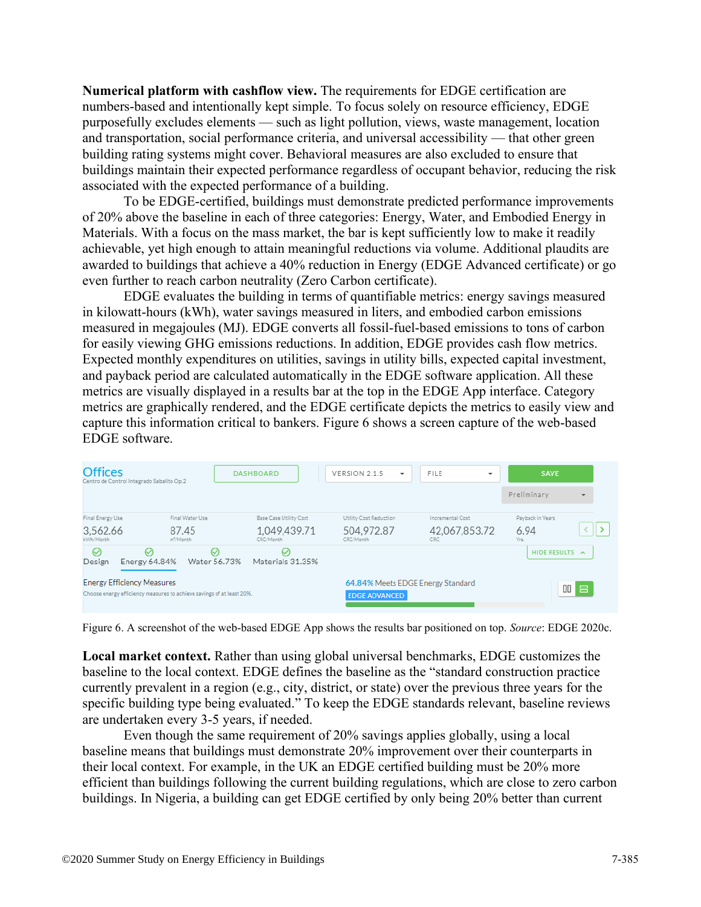**Numerical platform with cashflow view.** The requirements for EDGE certification are numbers-based and intentionally kept simple. To focus solely on resource efficiency, EDGE purposefully excludes elements — such as light pollution, views, waste management, location and transportation, social performance criteria, and universal accessibility — that other green building rating systems might cover. Behavioral measures are also excluded to ensure that buildings maintain their expected performance regardless of occupant behavior, reducing the risk associated with the expected performance of a building.

To be EDGE-certified, buildings must demonstrate predicted performance improvements of 20% above the baseline in each of three categories: Energy, Water, and Embodied Energy in Materials. With a focus on the mass market, the bar is kept sufficiently low to make it readily achievable, yet high enough to attain meaningful reductions via volume. Additional plaudits are awarded to buildings that achieve a 40% reduction in Energy (EDGE Advanced certificate) or go even further to reach carbon neutrality (Zero Carbon certificate).

EDGE evaluates the building in terms of quantifiable metrics: energy savings measured in kilowatt-hours (kWh), water savings measured in liters, and embodied carbon emissions measured in megajoules (MJ). EDGE converts all fossil-fuel-based emissions to tons of carbon for easily viewing GHG emissions reductions. In addition, EDGE provides cash flow metrics. Expected monthly expenditures on utilities, savings in utility bills, expected capital investment, and payback period are calculated automatically in the EDGE software application. All these metrics are visually displayed in a results bar at the top in the EDGE App interface. Category metrics are graphically rendered, and the EDGE certificate depicts the metrics to easily view and capture this information critical to bankers. Figure 6 shows a screen capture of the web-based EDGE software.



Figure 6. A screenshot of the web-based EDGE App shows the results bar positioned on top. *Source*: EDGE 2020c.

**Local market context.** Rather than using global universal benchmarks, EDGE customizes the baseline to the local context. EDGE defines the baseline as the "standard construction practice currently prevalent in a region (e.g., city, district, or state) over the previous three years for the specific building type being evaluated." To keep the EDGE standards relevant, baseline reviews are undertaken every 3-5 years, if needed.

Even though the same requirement of 20% savings applies globally, using a local baseline means that buildings must demonstrate 20% improvement over their counterparts in their local context. For example, in the UK an EDGE certified building must be 20% more efficient than buildings following the current building regulations, which are close to zero carbon buildings. In Nigeria, a building can get EDGE certified by only being 20% better than current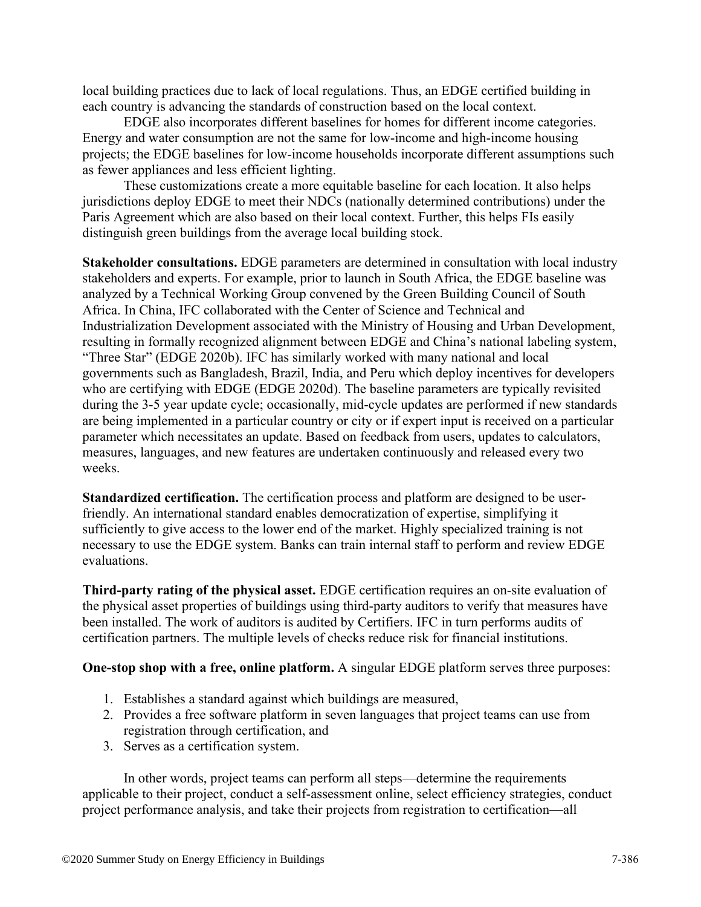local building practices due to lack of local regulations. Thus, an EDGE certified building in each country is advancing the standards of construction based on the local context.

EDGE also incorporates different baselines for homes for different income categories. Energy and water consumption are not the same for low-income and high-income housing projects; the EDGE baselines for low-income households incorporate different assumptions such as fewer appliances and less efficient lighting.

These customizations create a more equitable baseline for each location. It also helps jurisdictions deploy EDGE to meet their NDCs (nationally determined contributions) under the Paris Agreement which are also based on their local context. Further, this helps FIs easily distinguish green buildings from the average local building stock.

**Stakeholder consultations.** EDGE parameters are determined in consultation with local industry stakeholders and experts. For example, prior to launch in South Africa, the EDGE baseline was analyzed by a Technical Working Group convened by the Green Building Council of South Africa. In China, IFC collaborated with the Center of Science and Technical and Industrialization Development associated with the Ministry of Housing and Urban Development, resulting in formally recognized alignment between EDGE and China's national labeling system, "Three Star" (EDGE 2020b). IFC has similarly worked with many national and local governments such as Bangladesh, Brazil, India, and Peru which deploy incentives for developers who are certifying with EDGE (EDGE 2020d). The baseline parameters are typically revisited during the 3-5 year update cycle; occasionally, mid-cycle updates are performed if new standards are being implemented in a particular country or city or if expert input is received on a particular parameter which necessitates an update. Based on feedback from users, updates to calculators, measures, languages, and new features are undertaken continuously and released every two weeks.

**Standardized certification.** The certification process and platform are designed to be userfriendly. An international standard enables democratization of expertise, simplifying it sufficiently to give access to the lower end of the market. Highly specialized training is not necessary to use the EDGE system. Banks can train internal staff to perform and review EDGE evaluations.

**Third-party rating of the physical asset.** EDGE certification requires an on-site evaluation of the physical asset properties of buildings using third-party auditors to verify that measures have been installed. The work of auditors is audited by Certifiers. IFC in turn performs audits of certification partners. The multiple levels of checks reduce risk for financial institutions.

#### **One-stop shop with a free, online platform.** A singular EDGE platform serves three purposes:

- 1. Establishes a standard against which buildings are measured,
- 2. Provides a free software platform in seven languages that project teams can use from registration through certification, and
- 3. Serves as a certification system.

In other words, project teams can perform all steps—determine the requirements applicable to their project, conduct a self-assessment online, select efficiency strategies, conduct project performance analysis, and take their projects from registration to certification—all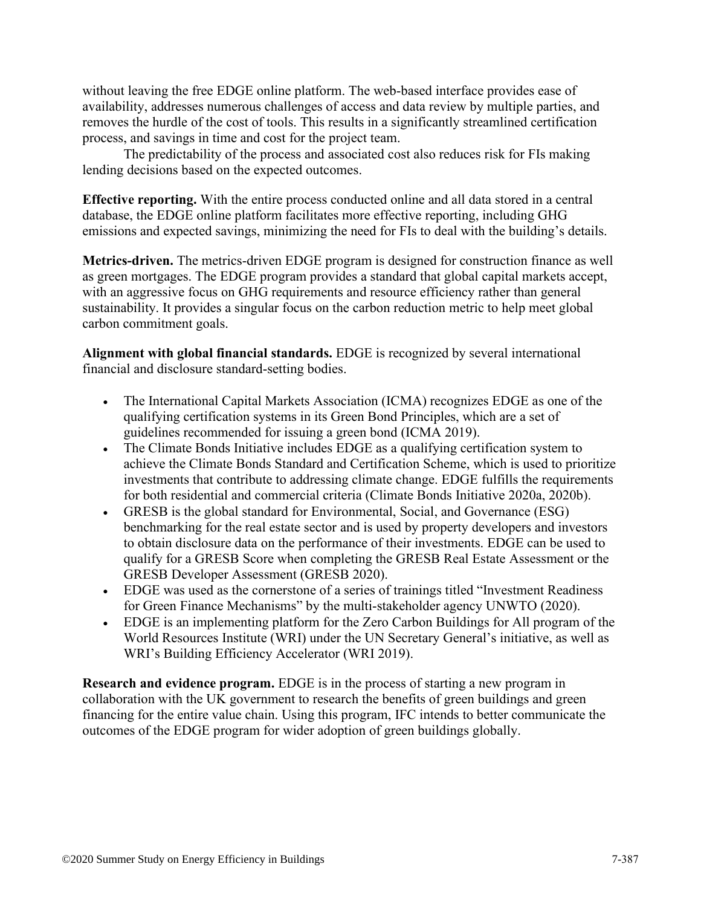without leaving the free EDGE online platform. The web-based interface provides ease of availability, addresses numerous challenges of access and data review by multiple parties, and removes the hurdle of the cost of tools. This results in a significantly streamlined certification process, and savings in time and cost for the project team.

The predictability of the process and associated cost also reduces risk for FIs making lending decisions based on the expected outcomes.

**Effective reporting.** With the entire process conducted online and all data stored in a central database, the EDGE online platform facilitates more effective reporting, including GHG emissions and expected savings, minimizing the need for FIs to deal with the building's details.

**Metrics-driven.** The metrics-driven EDGE program is designed for construction finance as well as green mortgages. The EDGE program provides a standard that global capital markets accept, with an aggressive focus on GHG requirements and resource efficiency rather than general sustainability. It provides a singular focus on the carbon reduction metric to help meet global carbon commitment goals.

**Alignment with global financial standards.** EDGE is recognized by several international financial and disclosure standard-setting bodies.

- The International Capital Markets Association (ICMA) recognizes EDGE as one of the qualifying certification systems in its Green Bond Principles, which are a set of guidelines recommended for issuing a green bond (ICMA 2019).
- The Climate Bonds Initiative includes EDGE as a qualifying certification system to achieve the Climate Bonds Standard and Certification Scheme, which is used to prioritize investments that contribute to addressing climate change. EDGE fulfills the requirements for both residential and commercial criteria (Climate Bonds Initiative 2020a, 2020b).
- GRESB is the global standard for Environmental, Social, and Governance (ESG) benchmarking for the real estate sector and is used by property developers and investors to obtain disclosure data on the performance of their investments. EDGE can be used to qualify for a GRESB Score when completing the GRESB Real Estate Assessment or the GRESB Developer Assessment (GRESB 2020).
- EDGE was used as the cornerstone of a series of trainings titled "Investment Readiness for Green Finance Mechanisms" by the multi-stakeholder agency UNWTO (2020).
- EDGE is an implementing platform for the Zero Carbon Buildings for All program of the World Resources Institute (WRI) under the UN Secretary General's initiative, as well as WRI's Building Efficiency Accelerator (WRI 2019).

**Research and evidence program.** EDGE is in the process of starting a new program in collaboration with the UK government to research the benefits of green buildings and green financing for the entire value chain. Using this program, IFC intends to better communicate the outcomes of the EDGE program for wider adoption of green buildings globally.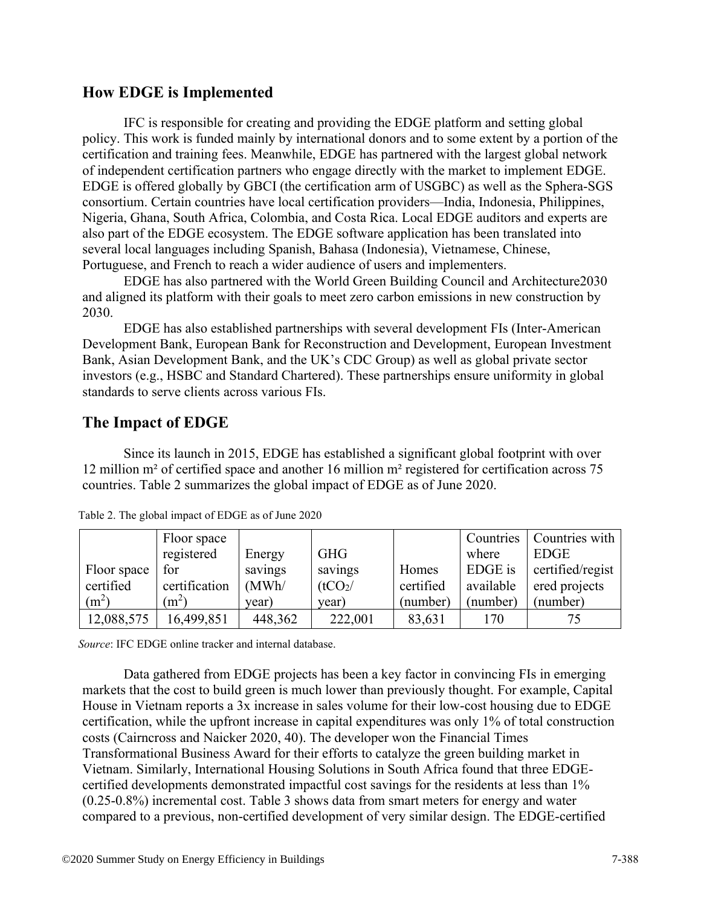## **How EDGE is Implemented**

IFC is responsible for creating and providing the EDGE platform and setting global policy. This work is funded mainly by international donors and to some extent by a portion of the certification and training fees. Meanwhile, EDGE has partnered with the largest global network of independent certification partners who engage directly with the market to implement EDGE. EDGE is offered globally by GBCI (the certification arm of USGBC) as well as the Sphera-SGS consortium. Certain countries have local certification providers—India, Indonesia, Philippines, Nigeria, Ghana, South Africa, Colombia, and Costa Rica. Local EDGE auditors and experts are also part of the EDGE ecosystem. The EDGE software application has been translated into several local languages including Spanish, Bahasa (Indonesia), Vietnamese, Chinese, Portuguese, and French to reach a wider audience of users and implementers.

EDGE has also partnered with the World Green Building Council and Architecture2030 and aligned its platform with their goals to meet zero carbon emissions in new construction by 2030.

EDGE has also established partnerships with several development FIs (Inter-American Development Bank, European Bank for Reconstruction and Development, European Investment Bank, Asian Development Bank, and the UK's CDC Group) as well as global private sector investors (e.g., HSBC and Standard Chartered). These partnerships ensure uniformity in global standards to serve clients across various FIs.

# **The Impact of EDGE**

Since its launch in 2015, EDGE has established a significant global footprint with over 12 million m² of certified space and another 16 million m² registered for certification across 75 countries. Table 2 summarizes the global impact of EDGE as of June 2020.

|                   | Floor space       |         |                     |           | Countries | Countries with   |
|-------------------|-------------------|---------|---------------------|-----------|-----------|------------------|
|                   | registered        | Energy  | <b>GHG</b>          |           | where     | <b>EDGE</b>      |
| Floor space       | for               | savings | savings             | Homes     | EDGE is   | certified/regist |
| certified         | certification     | (MWh/   | (tCO <sub>2</sub> / | certified | available | ered projects    |
| (m <sup>2</sup> ) | (m <sup>2</sup> ) | vear)   | year)               | (number)  | (number)  | (number)         |
| 12,088,575        | 16,499,851        | 448,362 | 222,001             | 83,631    | 170       | 75               |

Table 2. The global impact of EDGE as of June 2020

*Source*: IFC EDGE online tracker and internal database.

Data gathered from EDGE projects has been a key factor in convincing FIs in emerging markets that the cost to build green is much lower than previously thought. For example, Capital House in Vietnam reports a 3x increase in sales volume for their low-cost housing due to EDGE certification, while the upfront increase in capital expenditures was only 1% of total construction costs (Cairncross and Naicker 2020, 40). The developer won the Financial Times Transformational Business Award for their efforts to catalyze the green building market in Vietnam. Similarly, International Housing Solutions in South Africa found that three EDGEcertified developments demonstrated impactful cost savings for the residents at less than 1% (0.25-0.8%) incremental cost. Table 3 shows data from smart meters for energy and water compared to a previous, non-certified development of very similar design. The EDGE-certified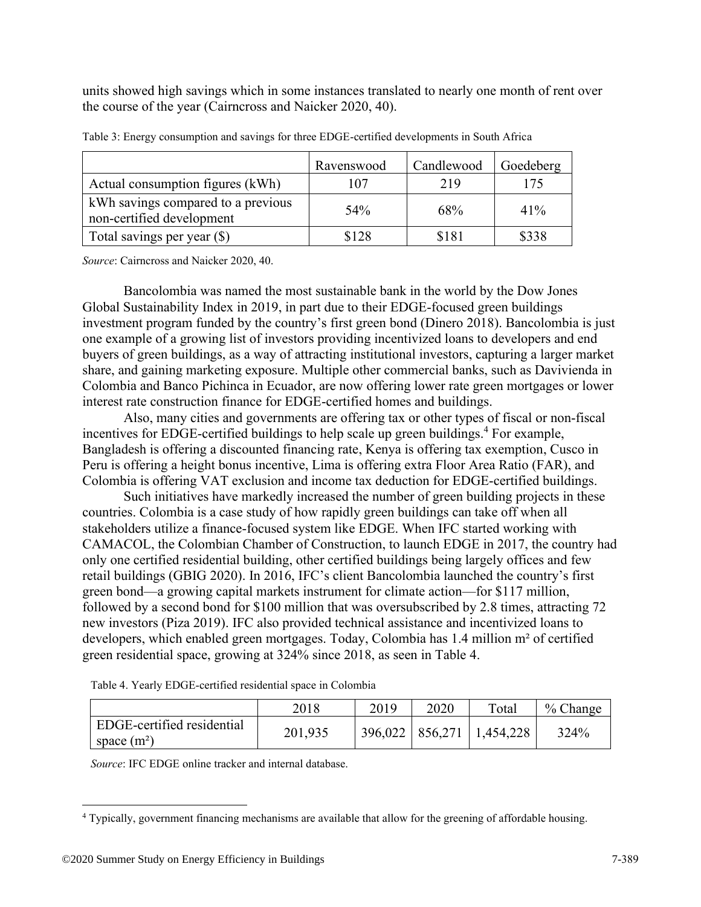units showed high savings which in some instances translated to nearly one month of rent over the course of the year (Cairncross and Naicker 2020, 40).

|                                                                 | Ravenswood | Candlewood | Goedeberg |
|-----------------------------------------------------------------|------------|------------|-----------|
| Actual consumption figures (kWh)                                | 107        | 219        | 75        |
| kWh savings compared to a previous<br>non-certified development | 54%        | 68%        | $41\%$    |
| Total savings per year (\$)                                     | \$128      | \$181      | \$338     |

Table 3: Energy consumption and savings for three EDGE-certified developments in South Africa

*Source*: Cairncross and Naicker 2020, 40.

Bancolombia was named the most sustainable bank in the world by the Dow Jones Global Sustainability Index in 2019, in part due to their EDGE-focused green buildings investment program funded by the country's first green bond (Dinero 2018). Bancolombia is just one example of a growing list of investors providing incentivized loans to developers and end buyers of green buildings, as a way of attracting institutional investors, capturing a larger market share, and gaining marketing exposure. Multiple other commercial banks, such as Davivienda in Colombia and Banco Pichinca in Ecuador, are now offering lower rate green mortgages or lower interest rate construction finance for EDGE-certified homes and buildings.

Also, many cities and governments are offering tax or other types of fiscal or non-fiscal incentives for EDGE-certified buildings to help scale up green buildings.<sup>4</sup> For example, Bangladesh is offering a discounted financing rate, Kenya is offering tax exemption, Cusco in Peru is offering a height bonus incentive, Lima is offering extra Floor Area Ratio (FAR), and Colombia is offering VAT exclusion and income tax deduction for EDGE-certified buildings.

Such initiatives have markedly increased the number of green building projects in these countries. Colombia is a case study of how rapidly green buildings can take off when all stakeholders utilize a finance-focused system like EDGE. When IFC started working with CAMACOL, the Colombian Chamber of Construction, to launch EDGE in 2017, the country had only one certified residential building, other certified buildings being largely offices and few retail buildings (GBIG 2020). In 2016, IFC's client Bancolombia launched the country's first green bond—a growing capital markets instrument for climate action—for \$117 million, followed by a second bond for \$100 million that was oversubscribed by 2.8 times, attracting 72 new investors (Piza 2019). IFC also provided technical assistance and incentivized loans to developers, which enabled green mortgages. Today, Colombia has 1.4 million m² of certified green residential space, growing at 324% since 2018, as seen in Table 4.

|  |  | Table 4. Yearly EDGE-certified residential space in Colombia |  |
|--|--|--------------------------------------------------------------|--|
|  |  |                                                              |  |

|                                             | 2018    | 2019 | 2020 | Total                             | $%$ Change |
|---------------------------------------------|---------|------|------|-----------------------------------|------------|
| EDGE-certified residential<br>space $(m^2)$ | 201,935 |      |      | $396,022$   $856,271$   1,454,228 | 324%       |

*Source*: IFC EDGE online tracker and internal database.

<sup>4</sup> Typically, government financing mechanisms are available that allow for the greening of affordable housing.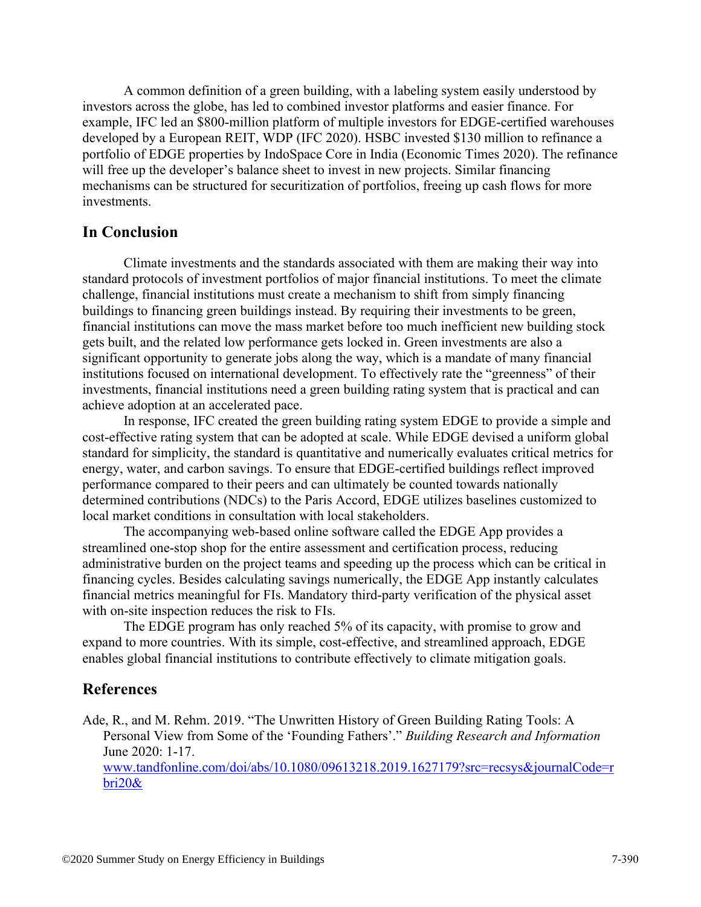A common definition of a green building, with a labeling system easily understood by investors across the globe, has led to combined investor platforms and easier finance. For example, IFC led an \$800-million platform of multiple investors for EDGE-certified warehouses developed by a European REIT, WDP (IFC 2020). HSBC invested \$130 million to refinance a portfolio of EDGE properties by IndoSpace Core in India (Economic Times 2020). The refinance will free up the developer's balance sheet to invest in new projects. Similar financing mechanisms can be structured for securitization of portfolios, freeing up cash flows for more investments.

### **In Conclusion**

Climate investments and the standards associated with them are making their way into standard protocols of investment portfolios of major financial institutions. To meet the climate challenge, financial institutions must create a mechanism to shift from simply financing buildings to financing green buildings instead. By requiring their investments to be green, financial institutions can move the mass market before too much inefficient new building stock gets built, and the related low performance gets locked in. Green investments are also a significant opportunity to generate jobs along the way, which is a mandate of many financial institutions focused on international development. To effectively rate the "greenness" of their investments, financial institutions need a green building rating system that is practical and can achieve adoption at an accelerated pace.

In response, IFC created the green building rating system EDGE to provide a simple and cost-effective rating system that can be adopted at scale. While EDGE devised a uniform global standard for simplicity, the standard is quantitative and numerically evaluates critical metrics for energy, water, and carbon savings. To ensure that EDGE-certified buildings reflect improved performance compared to their peers and can ultimately be counted towards nationally determined contributions (NDCs) to the Paris Accord, EDGE utilizes baselines customized to local market conditions in consultation with local stakeholders.

The accompanying web-based online software called the EDGE App provides a streamlined one-stop shop for the entire assessment and certification process, reducing administrative burden on the project teams and speeding up the process which can be critical in financing cycles. Besides calculating savings numerically, the EDGE App instantly calculates financial metrics meaningful for FIs. Mandatory third-party verification of the physical asset with on-site inspection reduces the risk to FIs.

The EDGE program has only reached 5% of its capacity, with promise to grow and expand to more countries. With its simple, cost-effective, and streamlined approach, EDGE enables global financial institutions to contribute effectively to climate mitigation goals.

## **References**

Ade, R., and M. Rehm. 2019. "The Unwritten History of Green Building Rating Tools: A Personal View from Some of the 'Founding Fathers'." *Building Research and Information* June 2020: 1-17. [www.tandfonline.com/doi/abs/10.1080/09613218.2019.1627179?src=recsys&journalCode=r](http://www.tandfonline.com/doi/abs/10.1080/09613218.2019.1627179?src=recsys&journalCode=rbri20&)

[bri20&](http://www.tandfonline.com/doi/abs/10.1080/09613218.2019.1627179?src=recsys&journalCode=rbri20&)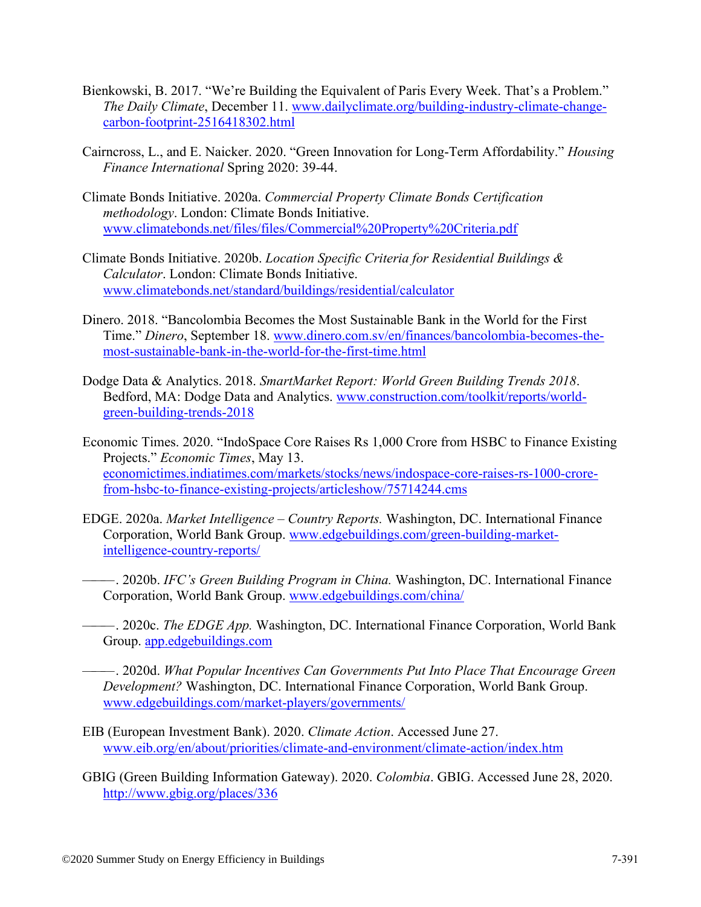- Bienkowski, B. 2017. "We're Building the Equivalent of Paris Every Week. That's a Problem." *The Daily Climate*, December 11. [www.dailyclimate.org/building-industry-climate-change](http://www.dailyclimate.org/building-industry-climate-change-carbon-footprint-2516418302.html)[carbon-footprint-2516418302.html](http://www.dailyclimate.org/building-industry-climate-change-carbon-footprint-2516418302.html)
- Cairncross, L., and E. Naicker. 2020. "Green Innovation for Long-Term Affordability." *Housing Finance International* Spring 2020: 39-44.
- Climate Bonds Initiative. 2020a. *Commercial Property Climate Bonds Certification methodology*. London: Climate Bonds Initiative. [www.climatebonds.net/files/files/Commercial%20Property%20Criteria.pdf](http://www.climatebonds.net/files/files/Commercial%20Property%20Criteria.pdf)
- Climate Bonds Initiative. 2020b. *Location Specific Criteria for Residential Buildings & Calculator*. London: Climate Bonds Initiative. [www.climatebonds.net/standard/buildings/residential/calculator](https://www.climatebonds.net/standard/buildings/residential/calculator)
- Dinero. 2018. "Bancolombia Becomes the Most Sustainable Bank in the World for the First Time." *Dinero*, September 18. [www.dinero.com.sv/en/finances/bancolombia-becomes-the](http://www.dinero.com.sv/en/finances/bancolombia-becomes-the-most-sustainable-bank-in-the-world-for-the-first-time.html)[most-sustainable-bank-in-the-world-for-the-first-time.html](http://www.dinero.com.sv/en/finances/bancolombia-becomes-the-most-sustainable-bank-in-the-world-for-the-first-time.html)
- Dodge Data & Analytics. 2018. *SmartMarket Report: World Green Building Trends 2018*. Bedford, MA: Dodge Data and Analytics. [www.construction.com/toolkit/reports/world](http://www.construction.com/toolkit/reports/world-green-building-trends-2018)[green-building-trends-2018](http://www.construction.com/toolkit/reports/world-green-building-trends-2018)
- Economic Times. 2020. "IndoSpace Core Raises Rs 1,000 Crore from HSBC to Finance Existing Projects." *Economic Times*, May 13. [economictimes.indiatimes.com/markets/stocks/news/indospace-core-raises-rs-1000-crore](https://energyshrink-my.sharepoint.com/personal/thomas_energy-shrink_com/Documents/Presentations/2020%20ACEEE/Feedback%20on%20version%201/economictimes.indiatimes.com/markets/stocks/news/indospace-core-raises-rs-1000-crore-from-hsbc-to-finance-existing-projects/articleshow/75714244.cms)[from-hsbc-to-finance-existing-projects/articleshow/75714244.cms](https://energyshrink-my.sharepoint.com/personal/thomas_energy-shrink_com/Documents/Presentations/2020%20ACEEE/Feedback%20on%20version%201/economictimes.indiatimes.com/markets/stocks/news/indospace-core-raises-rs-1000-crore-from-hsbc-to-finance-existing-projects/articleshow/75714244.cms)
- EDGE. 2020a. *Market Intelligence – Country Reports.* Washington, DC. International Finance Corporation, World Bank Group. [www.edgebuildings.com/green-building-market](http://www.edgebuildings.com/green-building-market-intelligence-country-reports/)[intelligence-country-reports/](http://www.edgebuildings.com/green-building-market-intelligence-country-reports/)
- ———. 2020b. *IFC's Green Building Program in China.* Washington, DC. International Finance Corporation, World Bank Group. [www.edgebuildings.com/china/](http://www.edgebuildings.com/china/)
- ———. 2020c. *The EDGE App.* Washington, DC. International Finance Corporation, World Bank Group. [app.edgebuildings.com](https://app.edgebuildings.com/)
- ———. 2020d. *What Popular Incentives Can Governments Put Into Place That Encourage Green Development?* Washington, DC. International Finance Corporation, World Bank Group. [www.edgebuildings.com/market-players/governments/](http://www.edgebuildings.com/market-players/governments/)
- EIB (European Investment Bank). 2020. *Climate Action*. Accessed June 27. [www.eib.org/en/about/priorities/climate-and-environment/climate-action/index.htm](https://www.eib.org/en/about/priorities/climate-and-environment/climate-action/index.htm)
- GBIG (Green Building Information Gateway). 2020. *Colombia*. GBIG. Accessed June 28, 2020. <http://www.gbig.org/places/336>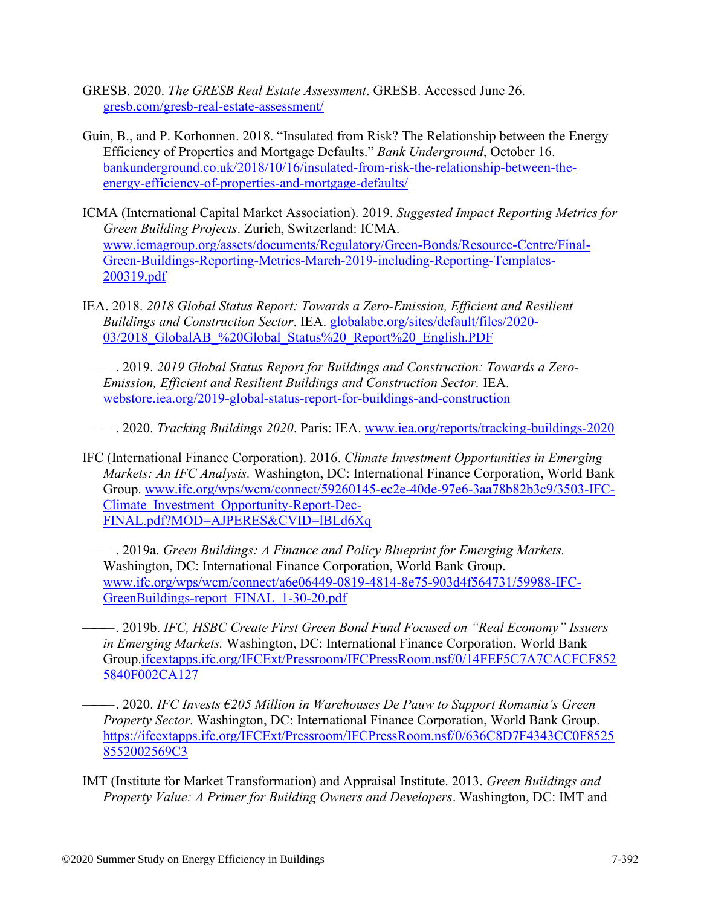- GRESB. 2020. *The GRESB Real Estate Assessment*. GRESB. Accessed June 26. [gresb.com/gresb-real-estate-assessment/](https://energyshrink-my.sharepoint.com/personal/thomas_energy-shrink_com/Documents/Presentations/2020%20ACEEE/Feedback%20on%20version%201/gresb.com/gresb-real-estate-assessment/)
- Guin, B., and P. Korhonnen. 2018. "Insulated from Risk? The Relationship between the Energy Efficiency of Properties and Mortgage Defaults." *Bank Underground*, October 16. [bankunderground.co.uk/2018/10/16/insulated-from-risk-the-relationship-between-the](https://bankunderground.co.uk/2018/10/16/insulated-from-risk-the-relationship-between-the-energy-efficiency-of-properties-and-mortgage-defaults/)[energy-efficiency-of-properties-and-mortgage-defaults/](https://bankunderground.co.uk/2018/10/16/insulated-from-risk-the-relationship-between-the-energy-efficiency-of-properties-and-mortgage-defaults/)
- ICMA (International Capital Market Association). 2019. *Suggested Impact Reporting Metrics for Green Building Projects*. Zurich, Switzerland: ICMA. [www.icmagroup.org/assets/documents/Regulatory/Green-Bonds/Resource-Centre/Final-](https://www.icmagroup.org/assets/documents/Regulatory/Green-Bonds/Resource-Centre/Final-Green-Buildings-Reporting-Metrics-March-2019-including-Reporting-Templates-200319.pdf)[Green-Buildings-Reporting-Metrics-March-2019-including-Reporting-Templates-](https://www.icmagroup.org/assets/documents/Regulatory/Green-Bonds/Resource-Centre/Final-Green-Buildings-Reporting-Metrics-March-2019-including-Reporting-Templates-200319.pdf)[200319.pdf](https://www.icmagroup.org/assets/documents/Regulatory/Green-Bonds/Resource-Centre/Final-Green-Buildings-Reporting-Metrics-March-2019-including-Reporting-Templates-200319.pdf)
- IEA. 2018. *2018 Global Status Report: Towards a Zero-Emission, Efficient and Resilient Buildings and Construction Sector*. IEA. [globalabc.org/sites/default/files/2020-](http://globalabc.org/sites/default/files/2020-03/2018_GlobalAB_%20Global_Status%20_Report%20_English.PDF) 03/2018 GlobalAB %20Global Status%20 Report%20 English.PDF
- ———. 2019. *2019 Global Status Report for Buildings and Construction: Towards a Zero-Emission, Efficient and Resilient Buildings and Construction Sector.* **IEA.** [webstore.iea.org/2019-global-status-report-for-buildings-and-construction](https://energyshrink-my.sharepoint.com/personal/thomas_energy-shrink_com/Documents/Presentations/2020%20ACEEE/Feedback%20on%20version%201/webstore.iea.org/2019-global-status-report-for-buildings-and-construction)
- ———. 2020. *Tracking Buildings 2020*. Paris: IEA. [www.iea.org/reports/tracking-buildings-2020](http://www.iea.org/reports/tracking-buildings-2020)
- IFC (International Finance Corporation). 2016. *Climate Investment Opportunities in Emerging Markets: An IFC Analysis.* Washington, DC: International Finance Corporation, World Bank Group. [www.ifc.org/wps/wcm/connect/59260145-ec2e-40de-97e6-3aa78b82b3c9/3503-IFC-](http://www.ifc.org/wps/wcm/connect/59260145-ec2e-40de-97e6-3aa78b82b3c9/3503-IFC-Climate_Investment_Opportunity-Report-Dec-FINAL.pdf?MOD=AJPERES&CVID=lBLd6Xq)[Climate\\_Investment\\_Opportunity-Report-Dec-](http://www.ifc.org/wps/wcm/connect/59260145-ec2e-40de-97e6-3aa78b82b3c9/3503-IFC-Climate_Investment_Opportunity-Report-Dec-FINAL.pdf?MOD=AJPERES&CVID=lBLd6Xq)[FINAL.pdf?MOD=AJPERES&CVID=lBLd6Xq](http://www.ifc.org/wps/wcm/connect/59260145-ec2e-40de-97e6-3aa78b82b3c9/3503-IFC-Climate_Investment_Opportunity-Report-Dec-FINAL.pdf?MOD=AJPERES&CVID=lBLd6Xq)
- ———. 2019a. *Green Buildings: A Finance and Policy Blueprint for Emerging Markets.*  Washington, DC: International Finance Corporation, World Bank Group. [www.ifc.org/wps/wcm/connect/a6e06449-0819-4814-8e75-903d4f564731/59988-IFC-](https://www.ifc.org/wps/wcm/connect/a6e06449-0819-4814-8e75-903d4f564731/59988-IFC-GreenBuildings-report_FINAL_1-30-20.pdf?MOD=AJPERES&CVID=m.TZbMU)[GreenBuildings-report\\_FINAL\\_1-30-20.pdf](https://www.ifc.org/wps/wcm/connect/a6e06449-0819-4814-8e75-903d4f564731/59988-IFC-GreenBuildings-report_FINAL_1-30-20.pdf?MOD=AJPERES&CVID=m.TZbMU)
- ———. 2019b. *IFC, HSBC Create First Green Bond Fund Focused on "Real Economy" Issuers in Emerging Markets.* Washington, DC: International Finance Corporation, World Bank Group[.ifcextapps.ifc.org/IFCExt/Pressroom/IFCPressRoom.nsf/0/14FEF5C7A7CACFCF852](https://ifcextapps.ifc.org/IFCExt/Pressroom/IFCPressRoom.nsf/0/14FEF5C7A7CACFCF8525840F002CA127) [5840F002CA127](https://ifcextapps.ifc.org/IFCExt/Pressroom/IFCPressRoom.nsf/0/14FEF5C7A7CACFCF8525840F002CA127)
- ———. 2020. *IFC Invests €205 Million in Warehouses De Pauw to Support Romania's Green Property Sector.* Washington, DC: International Finance Corporation, World Bank Group. [https://ifcextapps.ifc.org/IFCExt/Pressroom/IFCPressRoom.nsf/0/636C8D7F4343CC0F8525](https://ifcextapps.ifc.org/IFCExt/Pressroom/IFCPressRoom.nsf/0/636C8D7F4343CC0F85258552002569C3) [8552002569C3](https://ifcextapps.ifc.org/IFCExt/Pressroom/IFCPressRoom.nsf/0/636C8D7F4343CC0F85258552002569C3)
- IMT (Institute for Market Transformation) and Appraisal Institute. 2013. *Green Buildings and Property Value: A Primer for Building Owners and Developers*. Washington, DC: IMT and